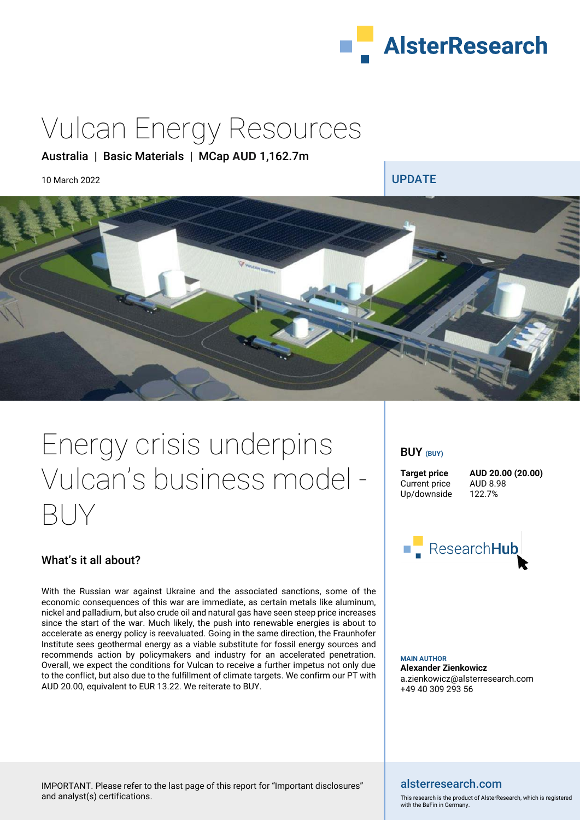

# Vulcan Energy Resources

### Australia | Basic Materials | MCap **AUD** 1,162.7m

10 March 2022 **UPDATE** 



# Energy crisis underpins Vulcan's business model - BUY

### What's it all about?

With the Russian war against Ukraine and the associated sanctions, some of the economic consequences of this war are immediate, as certain metals like aluminum, nickel and palladium, but also crude oil and natural gas have seen steep price increases since the start of the war. Much likely, the push into renewable energies is about to accelerate as energy policy is reevaluated. Going in the same direction, the Fraunhofer Institute sees geothermal energy as a viable substitute for fossil energy sources and recommends action by policymakers and industry for an accelerated penetration. Overall, we expect the conditions for Vulcan to receive a further impetus not only due to the conflict, but also due to the fulfillment of climate targets. We confirm our PT with AUD 20.00, equivalent to EUR 13.22. We reiterate to BUY.

### BUY **(BUY)**

Current price AUD 8.98<br>Up/downside 122.7% Up/downside

**Target price AUD 20.00 (20.00)** 



**MAIN AUTHOR Alexander Zienkowicz**  a.zienkowicz@alsterresearch.com +49 40 309 293 56

### alsterresearch.com

This research is the product of AlsterResearch, which is registered with the BaFin in Germany.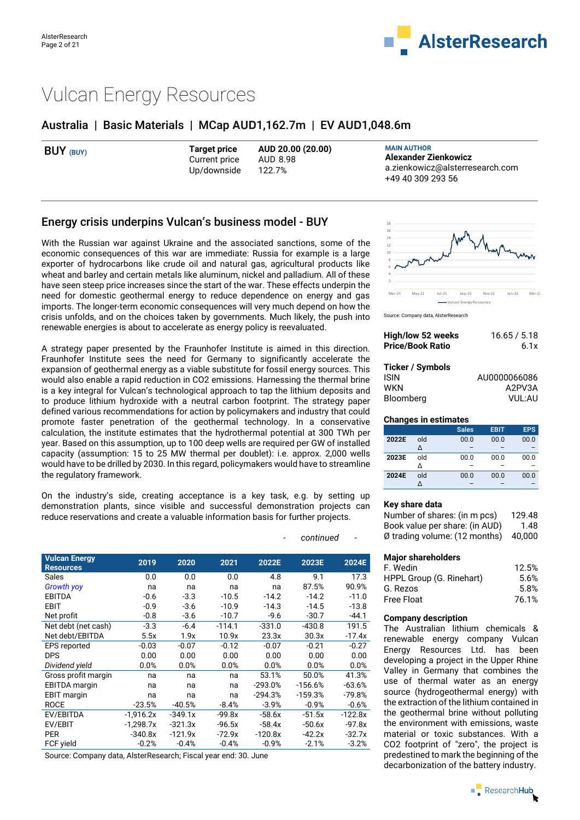

## Vulcan Energy Resources

### Australia | Basic Materials | MCap **AUD**1,162.7m | EV **AUD**1,048.6m

| <b>Target price</b><br>BUY (BUY)<br>AUD 8.98<br>Current price<br>Up/downside<br>122.7% | <b>MAIN AUTHOR</b><br>AUD 20.00 (20.00)<br>Alexander Zienkowicz<br>a.zienkowicz@alsterresearch.com<br>+49 40 309 293 56 |
|----------------------------------------------------------------------------------------|-------------------------------------------------------------------------------------------------------------------------|
|----------------------------------------------------------------------------------------|-------------------------------------------------------------------------------------------------------------------------|

### Energy crisis underpins Vulcan's business model - BUY

With the Russian war against Ukraine and the associated sanctions, some of the economic consequences of this war are immediate: Russia for example is a large exporter of hydrocarbons like crude oil and natural gas, agricultural products like wheat and barley and certain metals like aluminum, nickel and palladium. All of these have seen steep price increases since the start of the war. These effects underpin the need for domestic geothermal energy to reduce dependence on energy and gas imports. The longer-term economic consequences will very much depend on how the crisis unfolds, and on the choices taken by governments. Much likely, the push into renewable energies is about to accelerate as energy policy is reevaluated.

A strategy paper presented by the Fraunhofer Institute is aimed in this direction. Fraunhofer Institute sees the need for Germany to significantly accelerate the expansion of geothermal energy as a viable substitute for fossil energy sources. This would also enable a rapid reduction in CO2 emissions. Harnessing the thermal brine is a key integral for Vulcan's technological approach to tap the lithium deposits and to produce lithium hydroxide with a neutral carbon footprint. The strategy paper defined various recommendations for action by policymakers and industry that could promote faster penetration of the geothermal technology. In a conservative calculation, the institute estimates that the hydrothermal potential at 300 TWh per year. Based on this assumption, up to 100 deep wells are required per GW of installed capacity (assumption: 15 to 25 MW thermal per doublet): i.e. approx. 2,000 wells would have to be drilled by 2030. In this regard, policymakers would have to streamline the regulatory framework.

On the industry's side, creating acceptance is a key task, e.g. by setting up demonstration plants, since visible and successful demonstration projects can reduce reservations and create a valuable information basis for further projects.

| <b>Vulcan Energy</b><br><b>Resources</b> | 2019        | 2020      | 2021     | 2022E     | 2023E     | 2024E     |
|------------------------------------------|-------------|-----------|----------|-----------|-----------|-----------|
| Sales                                    | 0.0         | 0.0       | 0.0      | 4.8       | 9.1       | 17.3      |
| <b>Growth yoy</b>                        | na          | na        | na       | na        | 87.5%     | 90.9%     |
| <b>EBITDA</b>                            | $-0.6$      | $-3.3$    | $-10.5$  | $-14.2$   | $-14.2$   | $-11.0$   |
| EBIT                                     | $-0.9$      | $-3.6$    | $-10.9$  | $-14.3$   | $-14.5$   | $-13.8$   |
| Net profit                               | $-0.8$      | $-3.6$    | $-10.7$  | $-9.6$    | $-30.7$   | $-44.1$   |
| Net debt (net cash)                      | $-3.3$      | $-6.4$    | $-114.1$ | $-331.0$  | $-430.8$  | 191.5     |
| Net debt/EBITDA                          | 5.5x        | 1.9x      | 10.9x    | 23.3x     | 30.3x     | $-17.4x$  |
| <b>EPS reported</b>                      | $-0.03$     | $-0.07$   | $-0.12$  | $-0.07$   | $-0.21$   | $-0.27$   |
| <b>DPS</b>                               | 0.00        | 0.00      | 0.00     | 0.00      | 0.00      | 0.00      |
| Dividend yield                           | 0.0%        | 0.0%      | 0.0%     | 0.0%      | 0.0%      | 0.0%      |
| Gross profit margin                      | na          | na        | na       | 53.1%     | 50.0%     | 41.3%     |
| <b>EBITDA</b> margin                     | na          | na        | na       | $-293.0%$ | $-156.6%$ | $-63.6%$  |
| <b>EBIT</b> margin                       | na          | na        | na       | $-294.3%$ | $-159.3%$ | $-79.8%$  |
| <b>ROCE</b>                              | $-23.5%$    | $-40.5%$  | $-8.4%$  | $-3.9%$   | $-0.9%$   | $-0.6%$   |
| EV/EBITDA                                | $-1.916.2x$ | $-349.1x$ | $-99.8x$ | $-58.6x$  | $-51.5x$  | $-122.8x$ |
| EV/EBIT                                  | $-1,298.7x$ | $-321.3x$ | $-96.5x$ | $-58.4x$  | $-50.6x$  | $-97.8x$  |
| <b>PER</b>                               | $-340.8x$   | $-121.9x$ | $-72.9x$ | $-120.8x$ | $-42.2x$  | $-32.7x$  |
| FCF yield                                | $-0.2%$     | $-0.4%$   | $-0.4%$  | $-0.9%$   | $-2.1%$   | $-3.2%$   |

Source: Company data, AlsterResearch; Fiscal year end: 30. June



Source: Company data, AlsterResearch

| High/low 52 weeks       | 16.65 / 5.18 |  |  |  |  |
|-------------------------|--------------|--|--|--|--|
| <b>Price/Book Ratio</b> | 6.1x         |  |  |  |  |
|                         |              |  |  |  |  |
| Ticker / Symbols        |              |  |  |  |  |
| <b>ISIN</b>             | AU0000066086 |  |  |  |  |
| WKN                     | A2PV3A       |  |  |  |  |
| Bloomberg               | VUL:AU       |  |  |  |  |

#### **Changes in estimates**

|       |     | <b>Sales</b> | <b>EBIT</b> | <b>EPS</b> |
|-------|-----|--------------|-------------|------------|
| 2022E | old | 00.0         | 00.0        | 00.0       |
|       | Δ   |              |             |            |
| 2023E | old | 00.0         | 00.0        | 00.0       |
|       |     |              |             |            |
| 2024E | old | 00.0         | 00.0        | 00.0       |
|       |     |              |             |            |

#### **Key share data**

| Number of shares: (in m pcs)            | 129.48 |
|-----------------------------------------|--------|
| Book value per share: (in AUD)          | 1.48   |
| $\emptyset$ trading volume: (12 months) | 40.000 |

#### **Major shareholders**

| F. Wedin                 | 12.5% |
|--------------------------|-------|
| HPPL Group (G. Rinehart) | 5.6%  |
| G. Rezos                 | 5.8%  |
| Free Float               | 76.1% |

#### **Company description**

The Australian lithium chemicals & renewable energy company Vulcan Energy Resources Ltd. has been developing a project in the Upper Rhine Valley in Germany that combines the use of thermal water as an energy source (hydrogeothermal energy) with the extraction of the lithium contained in the geothermal brine without polluting the environment with emissions, waste material or toxic substances. With a CO2 footprint of "zero", the project is predestined to mark the beginning of the decarbonization of the battery industry.

 $\blacksquare$  Research**Hub** 

#### $continued$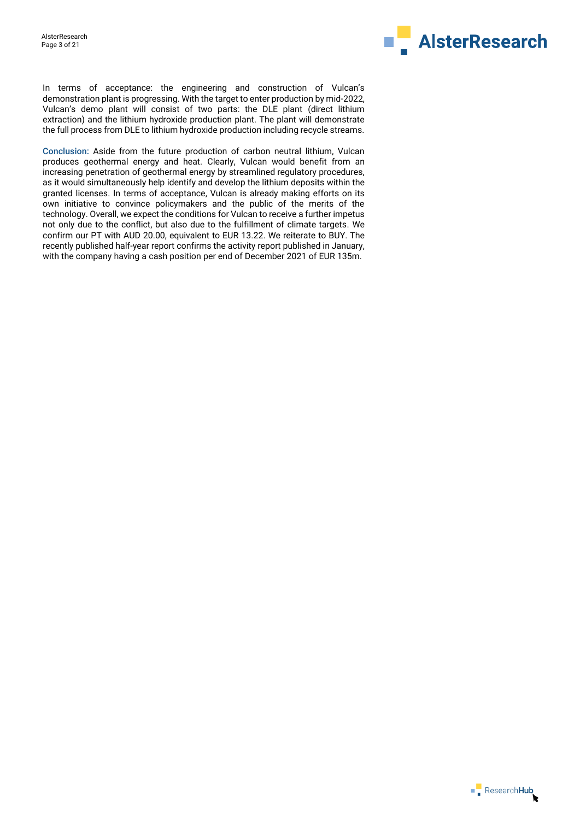

In terms of acceptance: the engineering and construction of Vulcan's demonstration plant is progressing. With the target to enter production by mid-2022, Vulcan's demo plant will consist of two parts: the DLE plant (direct lithium extraction) and the lithium hydroxide production plant. The plant will demonstrate the full process from DLE to lithium hydroxide production including recycle streams.

Conclusion: Aside from the future production of carbon neutral lithium, Vulcan produces geothermal energy and heat. Clearly, Vulcan would benefit from an increasing penetration of geothermal energy by streamlined regulatory procedures, as it would simultaneously help identify and develop the lithium deposits within the granted licenses. In terms of acceptance, Vulcan is already making efforts on its own initiative to convince policymakers and the public of the merits of the technology. Overall, we expect the conditions for Vulcan to receive a further impetus not only due to the conflict, but also due to the fulfillment of climate targets. We confirm our PT with AUD 20.00, equivalent to EUR 13.22. We reiterate to BUY. The recently published half-year report confirms the activity report published in January, with the company having a cash position per end of December 2021 of EUR 135m.

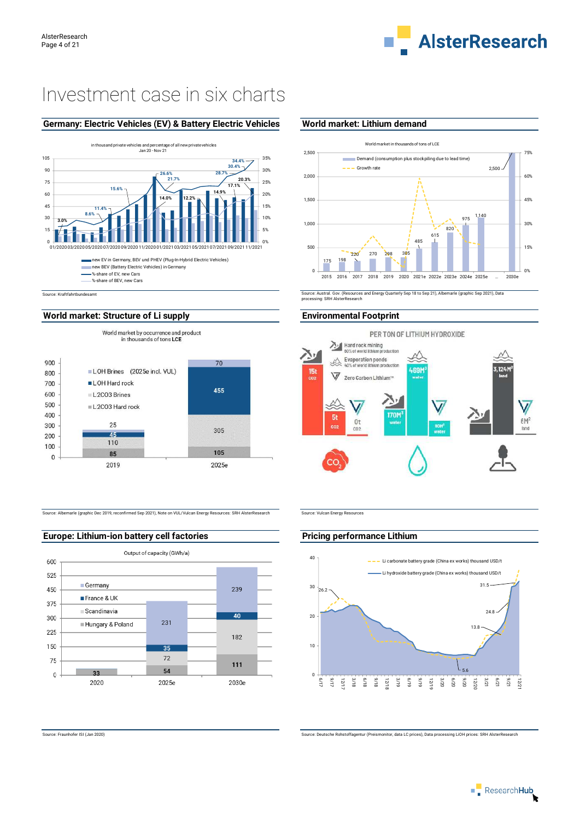

# Investment case in six charts

### **Germany: Electric Vehicles (EV) & Battery Electric Vehicles World market: Lithium demand**



### World market: Structure of Li supply **Environmental Footprint**



Source: Albemarle (graphic Dec 2019, reconfirmed Sep 2021), Note on VUL/Vulcan Energy Resources: SRH AlsterResearch Source: Vulcan Energy Resources



**Europe: Lithium-ion battery cell factories Action 2018** Pricing performance Lithium



Source: Austral. Gov. (Resources and Energy Quarterly Sep 18 to Sep 21), Albemarle (graphic Sep 2021), Data processing: SRH AlsterResearch





Source: Fraunhofer ISI (Jan 2020) Source: Deutsche Rohstoffagentur (Preismonitor, data LC prices), Data processing LiOH prices: SRH AlsterResearch

 $\overline{\phantom{a}}$  Research Hub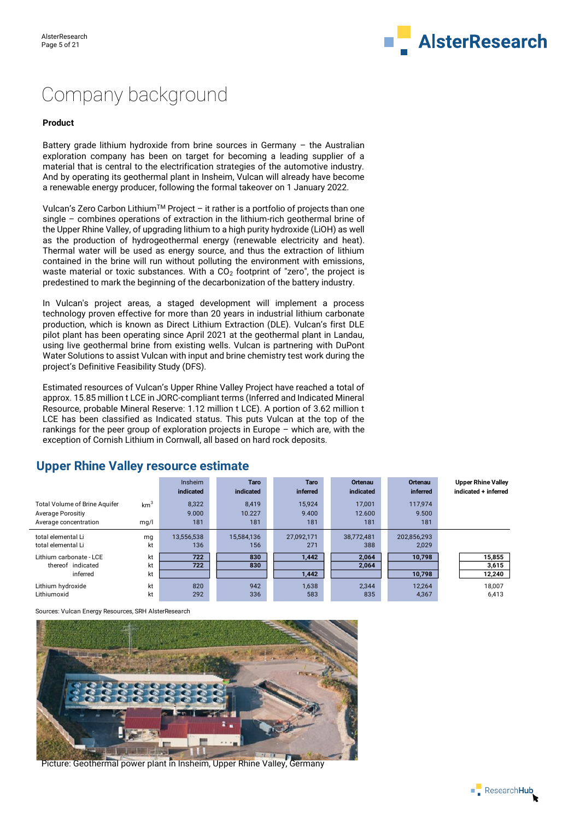

# Company background

#### **Product**

Battery grade lithium hydroxide from brine sources in Germany – the Australian exploration company has been on target for becoming a leading supplier of a material that is central to the electrification strategies of the automotive industry. And by operating its geothermal plant in Insheim, Vulcan will already have become a renewable energy producer, following the formal takeover on 1 January 2022.

Vulcan's Zero Carbon Lithium<sup>TM</sup> Project – it rather is a portfolio of projects than one single – combines operations of extraction in the lithium-rich geothermal brine of the Upper Rhine Valley, of upgrading lithium to a high purity hydroxide (LiOH) as well as the production of hydrogeothermal energy (renewable electricity and heat). Thermal water will be used as energy source, and thus the extraction of lithium contained in the brine will run without polluting the environment with emissions, waste material or toxic substances. With a  $CO<sub>2</sub>$  footprint of "zero", the project is predestined to mark the beginning of the decarbonization of the battery industry.

In Vulcan's project areas, a staged development will implement a process technology proven effective for more than 20 years in industrial lithium carbonate production, which is known as Direct Lithium Extraction (DLE). Vulcan's first DLE pilot plant has been operating since April 2021 at the geothermal plant in Landau, using live geothermal brine from existing wells. Vulcan is partnering with DuPont Water Solutions to assist Vulcan with input and brine chemistry test work during the project's Definitive Feasibility Study (DFS).

Estimated resources of Vulcan's Upper Rhine Valley Project have reached a total of approx. 15.85 million t LCE in JORC-compliant terms (Inferred and Indicated Mineral Resource, probable Mineral Reserve: 1.12 million t LCE). A portion of 3.62 million t LCE has been classified as Indicated status. This puts Vulcan at the top of the rankings for the peer group of exploration projects in Europe – which are, with the exception of Cornish Lithium in Cornwall, all based on hard rock deposits.

|                                                                                    |                         | <b>Insheim</b><br>indicated | Taro<br>indicated      | <b>Taro</b><br>inferred | Ortenau<br>indicated    | Ortenau<br><b>inferred</b> | <b>Upper Rhine Valley</b><br>indicated + inferred |
|------------------------------------------------------------------------------------|-------------------------|-----------------------------|------------------------|-------------------------|-------------------------|----------------------------|---------------------------------------------------|
| <b>Total Volume of Brine Aquifer</b><br>Average Porositiy<br>Average concentration | km <sup>3</sup><br>mq/l | 8,322<br>9.000<br>181       | 8.419<br>10.227<br>181 | 15,924<br>9.400<br>181  | 17.001<br>12.600<br>181 | 117.974<br>9.500<br>181    |                                                   |
| total elemental Li<br>total elemental Li                                           | mg<br>kt                | 13,556,538<br>136           | 15.584.136<br>156      | 27.092.171<br>271       | 38.772.481<br>388       | 202,856,293<br>2,029       |                                                   |
| Lithium carbonate - LCE<br>thereof indicated<br>inferred                           | kt<br>kt<br>kt          | 722<br>722                  | 830<br>830             | 1.442<br>1,442          | 2.064<br>2,064          | 10.798<br>10,798           | 15,855<br>3,615<br>12,240                         |
| Lithium hydroxide<br>Lithiumoxid                                                   | kt<br>kt                | 820<br>292                  | 942<br>336             | 1,638<br>583            | 2,344<br>835            | 12,264<br>4,367            | 18.007<br>6.413                                   |

### **Upper Rhine Valley resource estimate**

Sources: Vulcan Energy Resources, SRH AlsterResearch



Picture: Geothermal power plant in Insheim, Upper Rhine Valley, Germany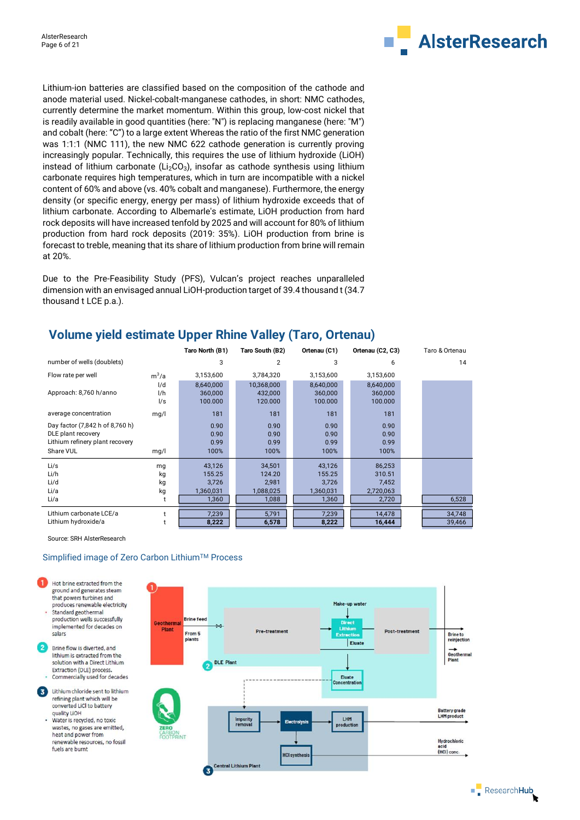

Lithium-ion batteries are classified based on the composition of the cathode and anode material used. Nickel-cobalt-manganese cathodes, in short: NMC cathodes, currently determine the market momentum. Within this group, low-cost nickel that is readily available in good quantities (here: "N") is replacing manganese (here: "M") and cobalt (here: "C") to a large extent Whereas the ratio of the first NMC generation was 1:1:1 (NMC 111), the new NMC 622 cathode generation is currently proving increasingly popular. Technically, this requires the use of lithium hydroxide (LiOH) instead of lithium carbonate ( $Li<sub>2</sub>CO<sub>3</sub>$ ), insofar as cathode synthesis using lithium carbonate requires high temperatures, which in turn are incompatible with a nickel content of 60% and above (vs. 40% cobalt and manganese). Furthermore, the energy density (or specific energy, energy per mass) of lithium hydroxide exceeds that of lithium carbonate. According to Albemarle's estimate, LiOH production from hard rock deposits will have increased tenfold by 2025 and will account for 80% of lithium production from hard rock deposits (2019: 35%). LiOH production from brine is forecast to treble, meaning that its share of lithium production from brine will remain at 20%.

Due to the Pre-Feasibility Study (PFS), Vulcan's project reaches unparalleled dimension with an envisaged annual LiOH-production target of 39.4 thousand t (34.7 thousand t LCE p.a.).

|                                 |            | Taro North (B1) | Taro South (B2) | Ortenau (C1) | Ortenau (C2, C3) | Taro & Ortenau |
|---------------------------------|------------|-----------------|-----------------|--------------|------------------|----------------|
| number of wells (doublets)      |            | 3               | 2               | 3            | 6                | 14             |
| Flow rate per well              | $m^3/a$    | 3,153,600       | 3,784,320       | 3,153,600    | 3,153,600        |                |
|                                 | 1/d        | 8,640,000       | 10,368,000      | 8,640,000    | 8,640,000        |                |
| Approach: 8,760 h/anno          | 1/h        | 360,000         | 432,000         | 360,000      | 360,000          |                |
|                                 | $\sqrt{s}$ | 100.000         | 120.000         | 100.000      | 100.000          |                |
| average concentration           | mg/l       | 181             | 181             | 181          | 181              |                |
| Day factor (7,842 h of 8,760 h) |            | 0.90            | 0.90            | 0.90         | 0.90             |                |
| DLE plant recovery              |            | 0.90            | 0.90            | 0.90         | 0.90             |                |
| Lithium refinery plant recovery |            | 0.99            | 0.99            | 0.99         | 0.99             |                |
| Share VUL                       | mg/l       | 100%            | 100%            | 100%         | 100%             |                |
| Li/s                            | mg         | 43,126          | 34,501          | 43,126       | 86,253           |                |
| Li/h                            | kg         | 155.25          | 124.20          | 155.25       | 310.51           |                |
| Li/d                            | kg         | 3,726           | 2,981           | 3,726        | 7,452            |                |
| Li/a                            | kg         | 1,360,031       | 1,088,025       | 1,360,031    | 2,720,063        |                |
| Li/a                            |            | 1,360           | 1,088           | 1,360        | 2,720            | 6,528          |
| Lithium carbonate LCE/a         |            | 7,239           | 5,791           | 7,239        | 14,478           | 34,748         |
| Lithium hydroxide/a             |            | 8,222           | 6,578           | 8,222        | 16,444           | 39,466         |

## **Volume yield estimate Upper Rhine Valley (Taro, Ortenau)**

Source: SRH AlsterResearch

quality LiOH

#### Simplified image of Zero Carbon Lithium™ Process

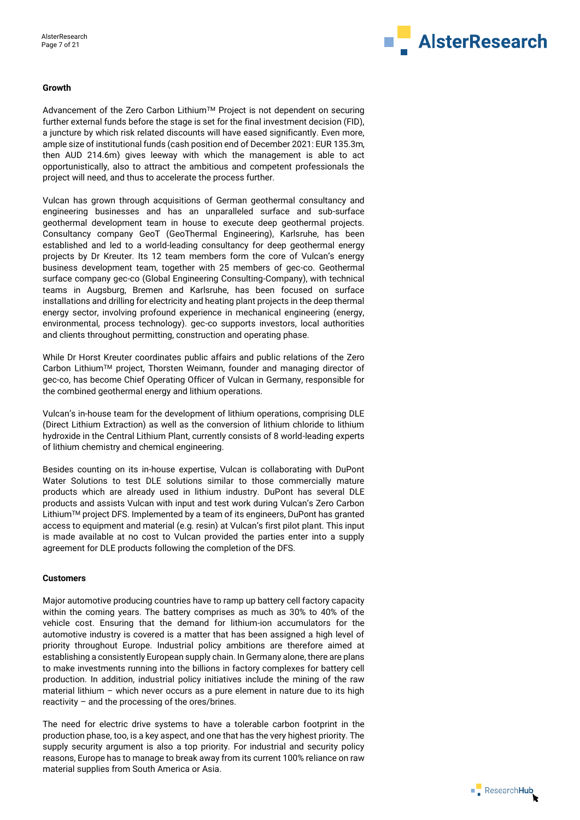

#### **Growth**

Advancement of the Zero Carbon Lithium™ Project is not dependent on securing further external funds before the stage is set for the final investment decision (FID), a juncture by which risk related discounts will have eased significantly. Even more, ample size of institutional funds (cash position end of December 2021: EUR 135.3m, then AUD 214.6m) gives leeway with which the management is able to act opportunistically, also to attract the ambitious and competent professionals the project will need, and thus to accelerate the process further.

Vulcan has grown through acquisitions of German geothermal consultancy and engineering businesses and has an unparalleled surface and sub-surface geothermal development team in house to execute deep geothermal projects. Consultancy company GeoT (GeoThermal Engineering), Karlsruhe, has been established and led to a world-leading consultancy for deep geothermal energy projects by Dr Kreuter. Its 12 team members form the core of Vulcan's energy business development team, together with 25 members of gec-co. Geothermal surface company gec-co (Global Engineering Consulting-Company), with technical teams in Augsburg, Bremen and Karlsruhe, has been focused on surface installations and drilling for electricity and heating plant projects in the deep thermal energy sector, involving profound experience in mechanical engineering (energy, environmental, process technology). gec-co supports investors, local authorities and clients throughout permitting, construction and operating phase.

While Dr Horst Kreuter coordinates public affairs and public relations of the Zero Carbon LithiumTM project, Thorsten Weimann, founder and managing director of gec-co, has become Chief Operating Officer of Vulcan in Germany, responsible for the combined geothermal energy and lithium operations.

Vulcan's in-house team for the development of lithium operations, comprising DLE (Direct Lithium Extraction) as well as the conversion of lithium chloride to lithium hydroxide in the Central Lithium Plant, currently consists of 8 world-leading experts of lithium chemistry and chemical engineering.

Besides counting on its in-house expertise, Vulcan is collaborating with DuPont Water Solutions to test DLE solutions similar to those commercially mature products which are already used in lithium industry. DuPont has several DLE products and assists Vulcan with input and test work during Vulcan's Zero Carbon LithiumTM project DFS. Implemented by a team of its engineers, DuPont has granted access to equipment and material (e.g. resin) at Vulcan's first pilot plant. This input is made available at no cost to Vulcan provided the parties enter into a supply agreement for DLE products following the completion of the DFS.

#### **Customers**

Major automotive producing countries have to ramp up battery cell factory capacity within the coming years. The battery comprises as much as 30% to 40% of the vehicle cost. Ensuring that the demand for lithium-ion accumulators for the automotive industry is covered is a matter that has been assigned a high level of priority throughout Europe. Industrial policy ambitions are therefore aimed at establishing a consistently European supply chain. In Germany alone, there are plans to make investments running into the billions in factory complexes for battery cell production. In addition, industrial policy initiatives include the mining of the raw material lithium – which never occurs as a pure element in nature due to its high reactivity – and the processing of the ores/brines.

The need for electric drive systems to have a tolerable carbon footprint in the production phase, too, is a key aspect, and one that has the very highest priority. The supply security argument is also a top priority. For industrial and security policy reasons, Europe has to manage to break away from its current 100% reliance on raw material supplies from South America or Asia.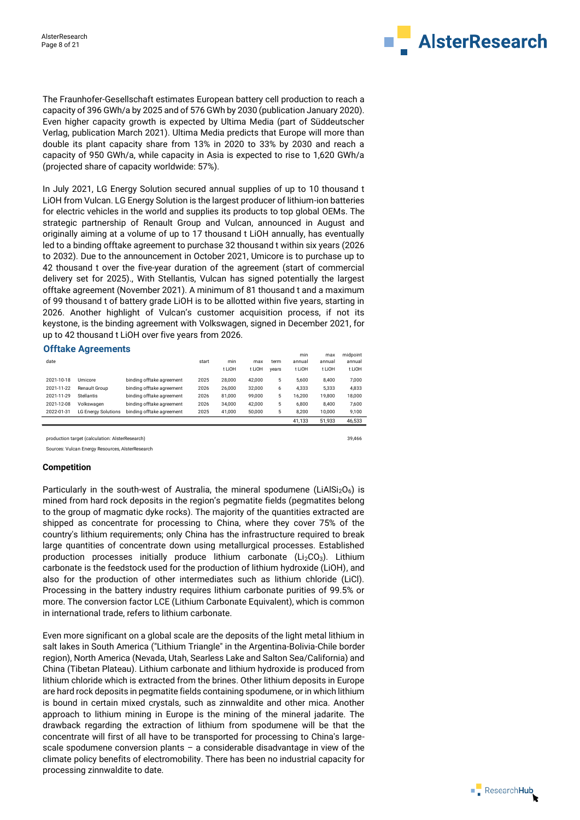

The Fraunhofer-Gesellschaft estimates European battery cell production to reach a capacity of 396 GWh/a by 2025 and of 576 GWh by 2030 (publication January 2020). Even higher capacity growth is expected by Ultima Media (part of Süddeutscher Verlag, publication March 2021). Ultima Media predicts that Europe will more than double its plant capacity share from 13% in 2020 to 33% by 2030 and reach a capacity of 950 GWh/a, while capacity in Asia is expected to rise to 1,620 GWh/a (projected share of capacity worldwide: 57%).

In July 2021, LG Energy Solution secured annual supplies of up to 10 thousand t LiOH from Vulcan. LG Energy Solution is the largest producer of lithium-ion batteries for electric vehicles in the world and supplies its products to top global OEMs. The strategic partnership of Renault Group and Vulcan, announced in August and originally aiming at a volume of up to 17 thousand t LiOH annually, has eventually led to a binding offtake agreement to purchase 32 thousand t within six years (2026 to 2032). Due to the announcement in October 2021, Umicore is to purchase up to 42 thousand t over the five-year duration of the agreement (start of commercial delivery set for 2025)., With Stellantis, Vulcan has signed potentially the largest offtake agreement (November 2021). A minimum of 81 thousand t and a maximum of 99 thousand t of battery grade LiOH is to be allotted within five years, starting in 2026. Another highlight of Vulcan's customer acquisition process, if not its keystone, is the binding agreement with Volkswagen, signed in December 2021, for up to 42 thousand t LiOH over five years from 2026.

#### **Offtake Agreements**

| date       |                            |                           | start | min    | max    | term  | min<br>annual | max<br>annual | midpoint<br>annual |
|------------|----------------------------|---------------------------|-------|--------|--------|-------|---------------|---------------|--------------------|
|            |                            |                           |       |        |        |       |               |               |                    |
|            |                            |                           |       | t LiOH | t LiOH | vears | t LiOH        | t LiOH        | t LiOH             |
| 2021-10-18 | Umicore                    | binding offtake agreement | 2025  | 28,000 | 42,000 | 5     | 5,600         | 8.400         | 7.000              |
| 2021-11-22 | Renault Group              | binding offtake agreement | 2026  | 26,000 | 32,000 | 6     | 4.333         | 5.333         | 4.833              |
| 2021-11-29 | <b>Stellantis</b>          | binding offtake agreement | 2026  | 81,000 | 99,000 | 5     | 16.200        | 19.800        | 18,000             |
| 2021-12-08 | Volkswagen                 | binding offtake agreement | 2026  | 34,000 | 42,000 | 5     | 6,800         | 8.400         | 7,600              |
| 2022-01-31 | <b>LG Energy Solutions</b> | binding offtake agreement | 2025  | 41,000 | 50,000 | 5     | 8.200         | 10,000        | 9,100              |
|            |                            |                           |       |        |        |       | 41.133        | 51.933        | 46.533             |

production target (calculation: AlsterResearch) 39,466

Sources: Vulcan Energy Resources, AlsterResearch

#### **Competition**

Particularly in the south-west of Australia, the mineral spodumene (LiAlSi<sub>2</sub>O<sub>6</sub>) is mined from hard rock deposits in the region's pegmatite fields (pegmatites belong to the group of magmatic dyke rocks). The majority of the quantities extracted are shipped as concentrate for processing to China, where they cover 75% of the country's lithium requirements; only China has the infrastructure required to break large quantities of concentrate down using metallurgical processes. Established production processes initially produce lithium carbonate ( $Li<sub>2</sub>CO<sub>3</sub>$ ). Lithium carbonate is the feedstock used for the production of lithium hydroxide (LiOH), and also for the production of other intermediates such as lithium chloride (LiCl). Processing in the battery industry requires lithium carbonate purities of 99.5% or more. The conversion factor LCE (Lithium Carbonate Equivalent), which is common in international trade, refers to lithium carbonate.

Even more significant on a global scale are the deposits of the light metal lithium in salt lakes in South America ("Lithium Triangle" in the Argentina-Bolivia-Chile border region), North America (Nevada, Utah, Searless Lake and Salton Sea/California) and China (Tibetan Plateau). Lithium carbonate and lithium hydroxide is produced from lithium chloride which is extracted from the brines. Other lithium deposits in Europe are hard rock deposits in pegmatite fields containing spodumene, or in which lithium is bound in certain mixed crystals, such as zinnwaldite and other mica. Another approach to lithium mining in Europe is the mining of the mineral jadarite. The drawback regarding the extraction of lithium from spodumene will be that the concentrate will first of all have to be transported for processing to China's largescale spodumene conversion plants – a considerable disadvantage in view of the climate policy benefits of electromobility. There has been no industrial capacity for processing zinnwaldite to date.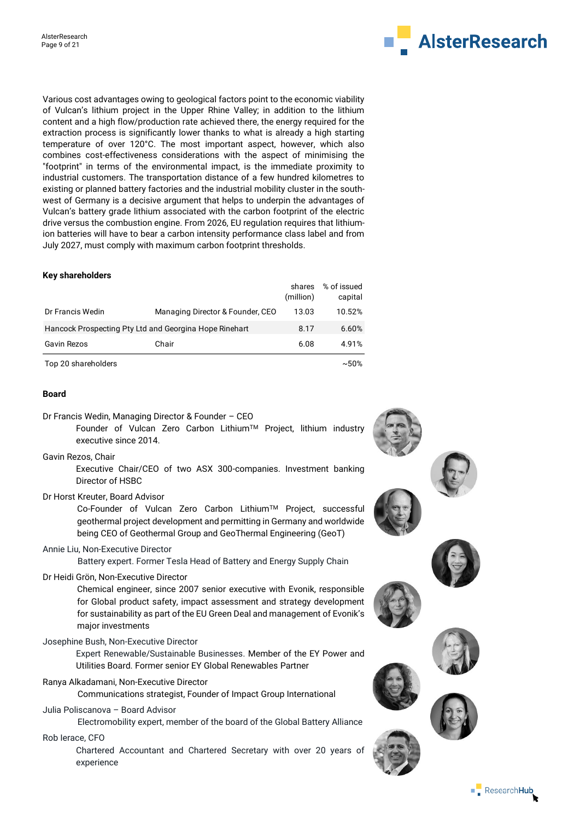

Various cost advantages owing to geological factors point to the economic viability of Vulcan's lithium project in the Upper Rhine Valley; in addition to the lithium content and a high flow/production rate achieved there, the energy required for the extraction process is significantly lower thanks to what is already a high starting temperature of over 120°C. The most important aspect, however, which also combines cost-effectiveness considerations with the aspect of minimising the "footprint" in terms of the environmental impact, is the immediate proximity to industrial customers. The transportation distance of a few hundred kilometres to existing or planned battery factories and the industrial mobility cluster in the southwest of Germany is a decisive argument that helps to underpin the advantages of Vulcan's battery grade lithium associated with the carbon footprint of the electric drive versus the combustion engine. From 2026, EU regulation requires that lithiumion batteries will have to bear a carbon intensity performance class label and from July 2027, must comply with maximum carbon footprint thresholds.

#### **Key shareholders**

|                                                        |                                  | shares<br>(million) | % of issued<br>capital |
|--------------------------------------------------------|----------------------------------|---------------------|------------------------|
| Dr Francis Wedin                                       | Managing Director & Founder, CEO | 13.03               | 10.52%                 |
| Hancock Prospecting Pty Ltd and Georgina Hope Rinehart |                                  | 8.17                | 6.60%                  |
| <b>Gavin Rezos</b>                                     | Chair                            | 6.08                | 4.91%                  |
| Top 20 shareholders                                    |                                  |                     | $~1.50\%$              |

#### **Board**

Dr Francis Wedin, Managing Director & Founder – CEO

Founder of Vulcan Zero Carbon LithiumTM Project, lithium industry executive since 2014.

Gavin Rezos, Chair

 Executive Chair/CEO of two ASX 300-companies. Investment banking Director of HSBC

Dr Horst Kreuter, Board Advisor

Co-Founder of Vulcan Zero Carbon LithiumTM Project, successful geothermal project development and permitting in Germany and worldwide being CEO of Geothermal Group and GeoThermal Engineering (GeoT)

Annie Liu, Non-Executive Director

Battery expert. Former Tesla Head of Battery and Energy Supply Chain

Dr Heidi Grön, Non-Executive Director

Chemical engineer, since 2007 senior executive with Evonik, responsible for Global product safety, impact assessment and strategy development for sustainability as part of the EU Green Deal and management of Evonik's major investments

Josephine Bush, Non-Executive Director

 Expert Renewable/Sustainable Businesses. Member of the EY Power and Utilities Board. Former senior EY Global Renewables Partner

Ranya Alkadamani, Non-Executive Director

Communications strategist, Founder of Impact Group International

Julia Poliscanova – Board Advisor

Electromobility expert, member of the board of the Global Battery Alliance

Rob Ierace, CFO

Chartered Accountant and Chartered Secretary with over 20 years of experience

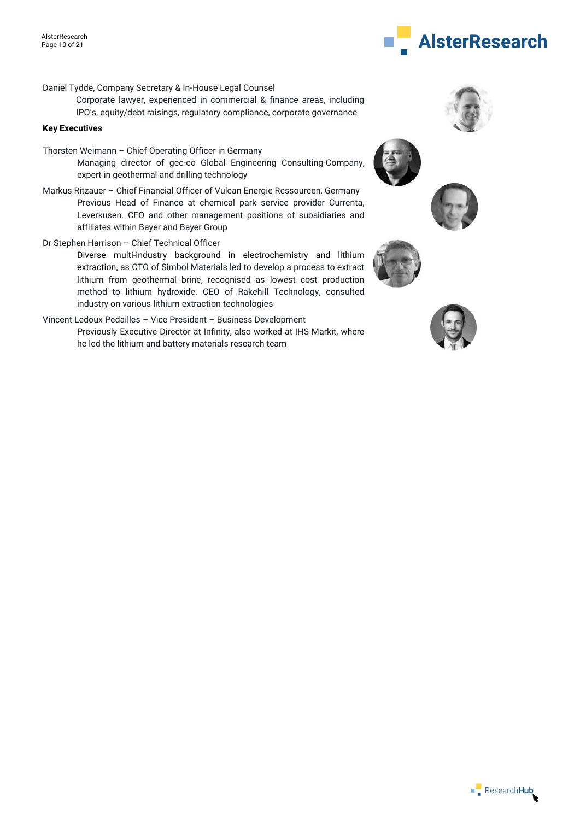

- Daniel Tydde, Company Secretary & In-House Legal Counsel
	- Corporate lawyer, experienced in commercial & finance areas, including IPO's, equity/debt raisings, regulatory compliance, corporate governance

#### **Key Executives**

- Thorsten Weimann Chief Operating Officer in Germany Managing director of gec-co Global Engineering Consulting-Company, expert in geothermal and drilling technology
- Markus Ritzauer Chief Financial Officer of Vulcan Energie Ressourcen, Germany Previous Head of Finance at chemical park service provider Currenta, Leverkusen. CFO and other management positions of subsidiaries and affiliates within Bayer and Bayer Group
- Dr Stephen Harrison Chief Technical Officer

Diverse multi-industry background in electrochemistry and lithium extraction, as CTO of Simbol Materials led to develop a process to extract lithium from geothermal brine, recognised as lowest cost production method to lithium hydroxide. CEO of Rakehill Technology, consulted industry on various lithium extraction technologies

Vincent Ledoux Pedailles – Vice President – Business Development Previously Executive Director at Infinity, also worked at IHS Markit, where he led the lithium and battery materials research team









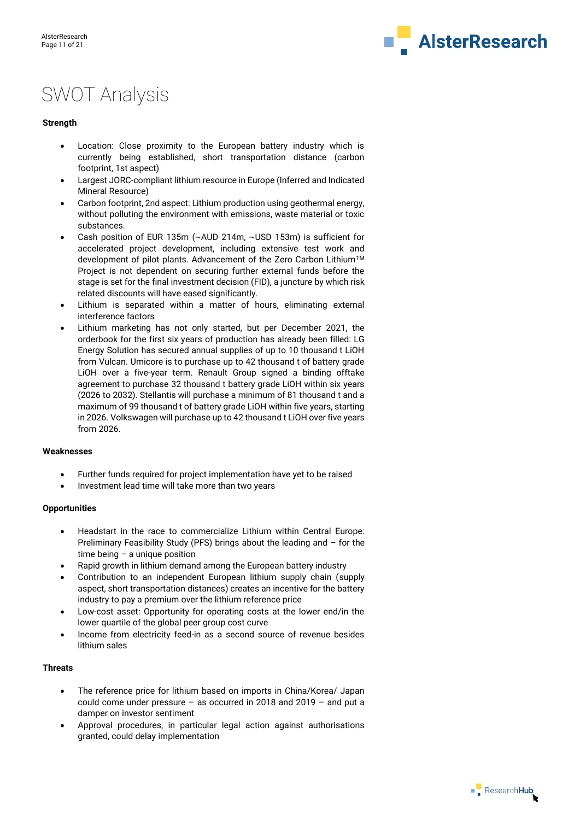

# SWOT Analysis

#### **Strength**

- Location: Close proximity to the European battery industry which is currently being established, short transportation distance (carbon footprint, 1st aspect)
- Largest JORC-compliant lithium resource in Europe (Inferred and Indicated Mineral Resource)
- Carbon footprint, 2nd aspect: Lithium production using geothermal energy, without polluting the environment with emissions, waste material or toxic substances.
- Cash position of EUR 135m (~AUD 214m, ~USD 153m) is sufficient for accelerated project development, including extensive test work and development of pilot plants. Advancement of the Zero Carbon Lithium™ Project is not dependent on securing further external funds before the stage is set for the final investment decision (FID), a juncture by which risk related discounts will have eased significantly.
- Lithium is separated within a matter of hours, eliminating external interference factors
- Lithium marketing has not only started, but per December 2021, the orderbook for the first six years of production has already been filled: LG Energy Solution has secured annual supplies of up to 10 thousand t LiOH from Vulcan. Umicore is to purchase up to 42 thousand t of battery grade LiOH over a five-year term. Renault Group signed a binding offtake agreement to purchase 32 thousand t battery grade LiOH within six years (2026 to 2032). Stellantis will purchase a minimum of 81 thousand t and a maximum of 99 thousand t of battery grade LiOH within five years, starting in 2026. Volkswagen will purchase up to 42 thousand t LiOH over five years from 2026.

#### **Weaknesses**

- Further funds required for project implementation have yet to be raised
- Investment lead time will take more than two years

#### **Opportunities**

- Headstart in the race to commercialize Lithium within Central Europe: Preliminary Feasibility Study (PFS) brings about the leading and – for the time being  $-$  a unique position
- Rapid growth in lithium demand among the European battery industry
- Contribution to an independent European lithium supply chain (supply aspect, short transportation distances) creates an incentive for the battery industry to pay a premium over the lithium reference price
- Low-cost asset: Opportunity for operating costs at the lower end/in the lower quartile of the global peer group cost curve
- Income from electricity feed-in as a second source of revenue besides lithium sales

#### **Threats**

- The reference price for lithium based on imports in China/Korea/ Japan could come under pressure – as occurred in 2018 and 2019 – and put a damper on investor sentiment
- Approval procedures, in particular legal action against authorisations granted, could delay implementation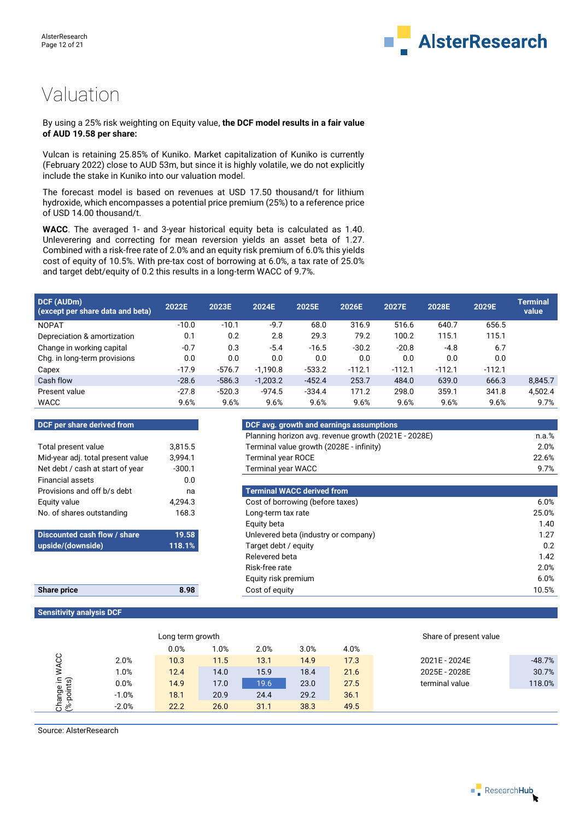

# Valuation

#### By using a 25% risk weighting on Equity value, **the DCF model results in a fair value of AUD 19.58 per share:**

Vulcan is retaining 25.85% of Kuniko. Market capitalization of Kuniko is currently (February 2022) close to AUD 53m, but since it is highly volatile, we do not explicitly include the stake in Kuniko into our valuation model.

The forecast model is based on revenues at USD 17.50 thousand/t for lithium hydroxide, which encompasses a potential price premium (25%) to a reference price of USD 14.00 thousand/t.

**WACC**. The averaged 1- and 3-year historical equity beta is calculated as 1.40. Unleverering and correcting for mean reversion yields an asset beta of 1.27. Combined with a risk-free rate of 2.0% and an equity risk premium of 6.0% this yields cost of equity of 10.5%. With pre-tax cost of borrowing at 6.0%, a tax rate of 25.0% and target debt/equity of 0.2 this results in a long-term WACC of 9.7%.

| DCF (AUDm)<br>(except per share data and beta) | 2022E   | 2023E    | 2024E      | 2025E    | 2026E    | 2027E    | 2028E    | 2029E    | Terminal<br>value |
|------------------------------------------------|---------|----------|------------|----------|----------|----------|----------|----------|-------------------|
| <b>NOPAT</b>                                   | $-10.0$ | $-10.1$  | $-9.7$     | 68.0     | 316.9    | 516.6    | 640.7    | 656.5    |                   |
| Depreciation & amortization                    | 0.1     | 0.2      | 2.8        | 29.3     | 79.2     | 100.2    | 115.1    | 115.1    |                   |
| Change in working capital                      | $-0.7$  | 0.3      | $-5.4$     | $-16.5$  | $-30.2$  | $-20.8$  | $-4.8$   | 6.7      |                   |
| Chg. in long-term provisions                   | 0.0     | 0.0      | 0.0        | 0.0      | 0.0      | 0.0      | 0.0      | 0.0      |                   |
| Capex                                          | $-17.9$ | $-576.7$ | $-1.190.8$ | $-533.2$ | $-112.1$ | $-112.1$ | $-112.1$ | $-112.1$ |                   |
| Cash flow                                      | $-28.6$ | $-586.3$ | $-1,203.2$ | $-452.4$ | 253.7    | 484.0    | 639.0    | 666.3    | 8,845.7           |
| Present value                                  | $-27.8$ | $-520.3$ | $-974.5$   | $-334.4$ | 171.2    | 298.0    | 359.1    | 341.8    | 4,502.4           |
| <b>WACC</b>                                    | 9.6%    | 9.6%     | 9.6%       | 9.6%     | 9.6%     | 9.6%     | 9.6%     | 9.6%     | 9.7%              |

#### **DCF per share derived from and earnings assumptions assumptions**

| Total present value               | 3,815.5  | Terminal value growth (2028E      |
|-----------------------------------|----------|-----------------------------------|
| Mid-year adj. total present value | 3.994.1  | <b>Terminal year ROCE</b>         |
| Net debt / cash at start of year  | $-300.1$ | <b>Terminal year WACC</b>         |
| <b>Financial assets</b>           | 0.0      |                                   |
| Provisions and off b/s debt       | na       | <b>Terminal WACC derived from</b> |
| Equity value                      | 4,294.3  | Cost of borrowing (before taxe    |
| No. of shares outstanding         | 168.3    | Long-term tax rate                |
|                                   |          | Equity beta                       |
| Discounted cash flow / share      | 19.58    | Unlevered beta (industry or co    |
| (ahiznwoh)/ahizqu                 | 118.1%   | Target debt / equity              |

| <b>Share price</b> | 8.98 |
|--------------------|------|
|                    |      |

### **Sensitivity analysis DCF**

| <b>DCF per share derived from</b> |          | DCF avg. growth and earnings assumptions             |          |
|-----------------------------------|----------|------------------------------------------------------|----------|
|                                   |          | Planning horizon avg. revenue growth (2021E - 2028E) | $n.a.\%$ |
| Total present value               | 3.815.5  | Terminal value growth (2028E - infinity)             | $2.0\%$  |
| Mid-year adj. total present value | 3.994.1  | <b>Terminal year ROCE</b>                            | 22.6%    |
| Net debt / cash at start of year  | $-300.1$ | Terminal year WACC                                   | 9.7%     |
| Einanoial accoto                  | n n      |                                                      |          |

| Provisions and off b/s debt  | na      | <b>Terminal WACC derived from</b>    |       |
|------------------------------|---------|--------------------------------------|-------|
| Equity value                 | 4.294.3 | Cost of borrowing (before taxes)     | 6.0%  |
| No. of shares outstanding    | 168.3   | Long-term tax rate                   | 25.0% |
|                              |         | Equity beta                          | 1.40  |
| Discounted cash flow / share | 19.58   | Unlevered beta (industry or company) | 1.27  |
| upside/(downside)            | 118.1%  | Target debt / equity                 | 0.2   |
|                              |         | Relevered beta                       | 1.42  |
|                              |         | Risk-free rate                       | 2.0%  |
|                              |         | Equity risk premium                  | 6.0%  |
| <b>Share price</b>           | 8.98    | Cost of equity                       | 10.5% |
|                              |         |                                      |       |

|                       |         | Long term growth |       |      |      |      | Share of present value |          |
|-----------------------|---------|------------------|-------|------|------|------|------------------------|----------|
|                       |         | 0.0%             | $0\%$ | 2.0% | 3.0% | 4.0% |                        |          |
| ပ္ပ                   | 2.0%    | 10.3             | 11.5  | 13.1 | 14.9 | 17.3 | 2021E - 2024E          | $-48.7%$ |
|                       | 1.0%    | 12.4             | 14.0  | 15.9 | 18.4 | 21.6 | 2025E - 2028E          | 30.7%    |
| hange in<br>s-points) | 0.0%    | 14.9             | 17.0  | 19.6 | 23.0 | 27.5 | terminal value         | 118.0%   |
|                       | $-1.0%$ | 18.1             | 20.9  | 24.4 | 29.2 | 36.1 |                        |          |
| <u>ర్ ల</u> ి         | $-2.0%$ | 22.2             | 26.0  | 31.1 | 38.3 | 49.5 |                        |          |

Source: AlsterResearch

 $\blacksquare$  Research Hub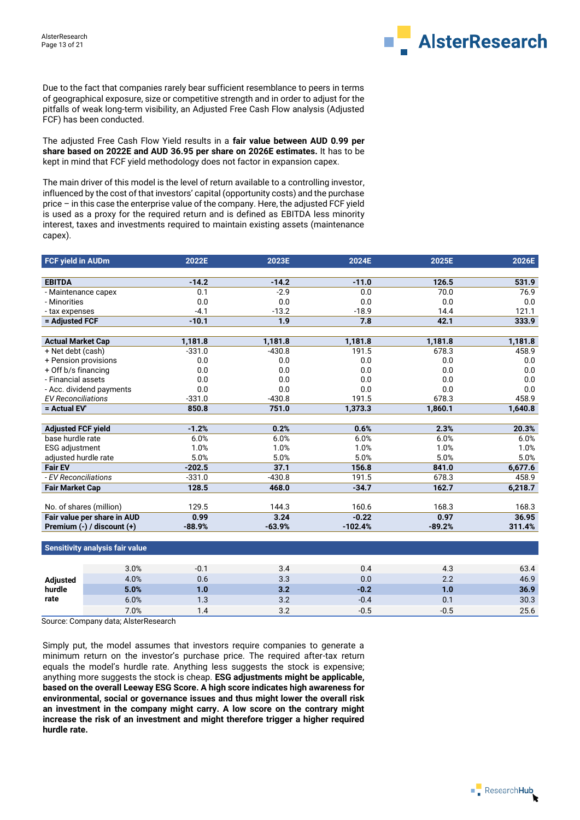

Due to the fact that companies rarely bear sufficient resemblance to peers in terms of geographical exposure, size or competitive strength and in order to adjust for the pitfalls of weak long-term visibility, an Adjusted Free Cash Flow analysis (Adjusted FCF) has been conducted.

The adjusted Free Cash Flow Yield results in a **fair value between AUD 0.99 per share based on 2022E and AUD 36.95 per share on 2026E estimates.** It has to be kept in mind that FCF yield methodology does not factor in expansion capex.

The main driver of this model is the level of return available to a controlling investor, influenced by the cost of that investors' capital (opportunity costs) and the purchase price – in this case the enterprise value of the company. Here, the adjusted FCF yield is used as a proxy for the required return and is defined as EBITDA less minority interest, taxes and investments required to maintain existing assets (maintenance capex).

| FCF yield in AUDm               |      | 2022E    | 2023E    | 2024E     | 2025E    | 2026E   |
|---------------------------------|------|----------|----------|-----------|----------|---------|
|                                 |      |          |          |           |          |         |
| <b>EBITDA</b>                   |      | $-14.2$  | $-14.2$  | $-11.0$   | 126.5    | 531.9   |
| - Maintenance capex             |      | 0.1      | $-2.9$   | 0.0       | 70.0     | 76.9    |
| - Minorities                    |      | 0.0      | 0.0      | 0.0       | 0.0      | 0.0     |
| - tax expenses                  |      | $-4.1$   | $-13.2$  | $-18.9$   | 14.4     | 121.1   |
| = Adjusted FCF                  |      | $-10.1$  | 1.9      | 7.8       | 42.1     | 333.9   |
|                                 |      |          |          |           |          |         |
| <b>Actual Market Cap</b>        |      | 1,181.8  | 1,181.8  | 1,181.8   | 1,181.8  | 1,181.8 |
| + Net debt (cash)               |      | $-331.0$ | $-430.8$ | 191.5     | 678.3    | 458.9   |
| + Pension provisions            |      | 0.0      | 0.0      | 0.0       | 0.0      | 0.0     |
| + Off b/s financing             |      | 0.0      | 0.0      | 0.0       | 0.0      | 0.0     |
| - Financial assets              |      | 0.0      | 0.0      | 0.0       | 0.0      | 0.0     |
| - Acc. dividend payments        |      | 0.0      | 0.0      | 0.0       | 0.0      | 0.0     |
| <b>EV Reconciliations</b>       |      | $-331.0$ | $-430.8$ | 191.5     | 678.3    | 458.9   |
| = Actual EV'                    |      | 850.8    | 751.0    | 1,373.3   | 1,860.1  | 1,640.8 |
|                                 |      |          |          |           |          |         |
| <b>Adjusted FCF yield</b>       |      | $-1.2%$  | 0.2%     | 0.6%      | 2.3%     | 20.3%   |
| base hurdle rate                |      | 6.0%     | 6.0%     | 6.0%      | 6.0%     | 6.0%    |
| <b>ESG</b> adjustment           |      | 1.0%     | 1.0%     | 1.0%      | 1.0%     | 1.0%    |
| adjusted hurdle rate            |      | 5.0%     | 5.0%     | 5.0%      | 5.0%     | 5.0%    |
| <b>Fair EV</b>                  |      | $-202.5$ | 37.1     | 156.8     | 841.0    | 6,677.6 |
| - EV Reconciliations            |      | $-331.0$ | $-430.8$ | 191.5     | 678.3    | 458.9   |
| <b>Fair Market Cap</b>          |      | 128.5    | 468.0    | $-34.7$   | 162.7    | 6,218.7 |
|                                 |      |          |          |           |          |         |
| No. of shares (million)         |      | 129.5    | 144.3    | 160.6     | 168.3    | 168.3   |
| Fair value per share in AUD     |      | 0.99     | 3.24     | $-0.22$   | 0.97     | 36.95   |
| Premium (-) / discount (+)      |      | $-88.9%$ | $-63.9%$ | $-102.4%$ | $-89.2%$ | 311.4%  |
|                                 |      |          |          |           |          |         |
| Sensitivity analysis fair value |      |          |          |           |          |         |
|                                 |      |          |          |           |          |         |
|                                 | 3.0% | $-0.1$   | 3.4      | 0.4       | 4.3      | 63.4    |
| <b>Adjusted</b>                 | 4.0% | 0.6      | 3.3      | 0.0       | 2.2      | 46.9    |
| hurdle                          | 5.0% | 1.0      | 3.2      | $-0.2$    | 1.0      | 36.9    |
| rate                            | 6.0% | 1.3      | 3.2      | $-0.4$    | 0.1      | 30.3    |

 $7.0\%$  1.4 3.2 -0.5 -0.5 -0.5 25.6

Source: Company data; AlsterResearch

Simply put, the model assumes that investors require companies to generate a minimum return on the investor's purchase price. The required after-tax return equals the model's hurdle rate. Anything less suggests the stock is expensive; anything more suggests the stock is cheap. **ESG adjustments might be applicable, based on the overall Leeway ESG Score. A high score indicates high awareness for environmental, social or governance issues and thus might lower the overall risk an investment in the company might carry. A low score on the contrary might increase the risk of an investment and might therefore trigger a higher required hurdle rate.**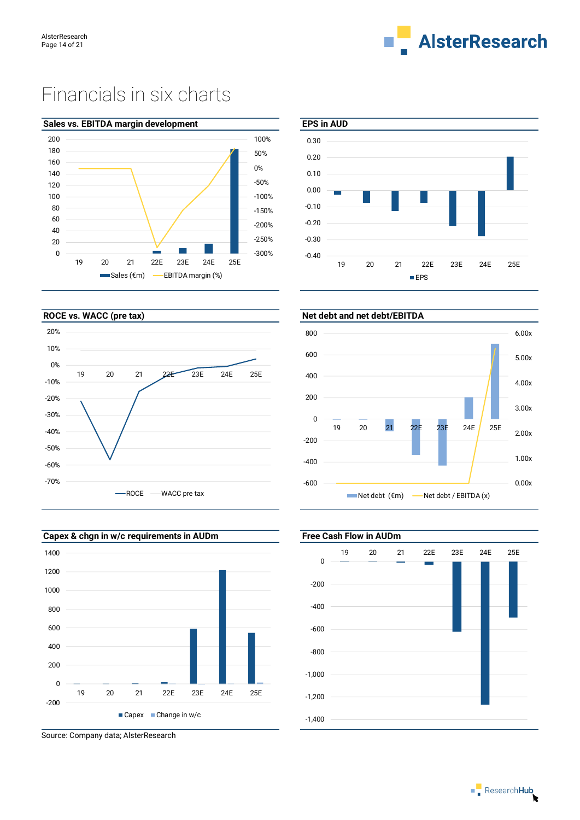

# Financials in six charts









Source: Company data; AlsterResearch



# -1,200 -1,000 -800 -600 -400  $-200$  $\overline{0}$ 19 20 21 22E 23E 24E 25E

-1,400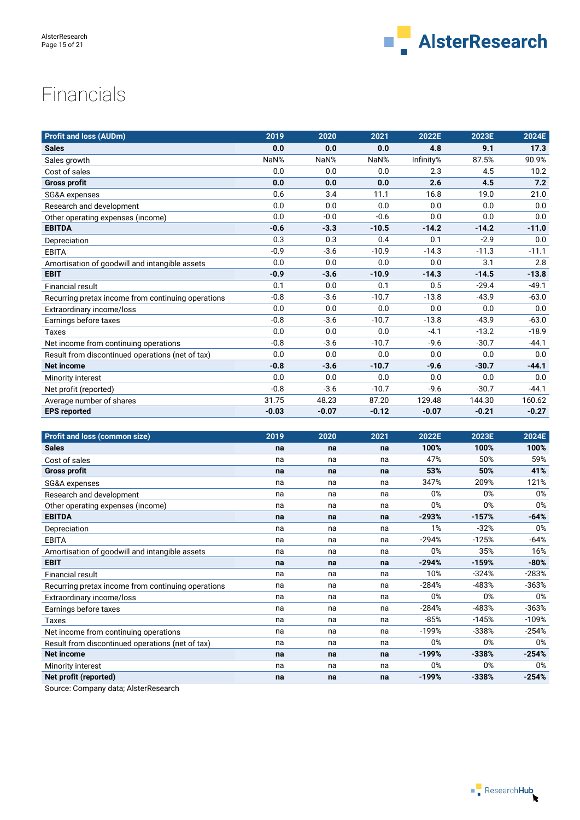

# Financials

| <b>Profit and loss (AUDm)</b>                      | 2019    | 2020    | 2021    | 2022E     | 2023E   | 2024E   |
|----------------------------------------------------|---------|---------|---------|-----------|---------|---------|
| <b>Sales</b>                                       | 0.0     | 0.0     | 0.0     | 4.8       | 9.1     | 17.3    |
| Sales growth                                       | NaN%    | NaN%    | NaN%    | Infinity% | 87.5%   | 90.9%   |
| Cost of sales                                      | 0.0     | 0.0     | 0.0     | 2.3       | 4.5     | 10.2    |
| <b>Gross profit</b>                                | 0.0     | 0.0     | 0.0     | 2.6       | 4.5     | 7.2     |
| SG&A expenses                                      | 0.6     | 3.4     | 11.1    | 16.8      | 19.0    | 21.0    |
| Research and development                           | 0.0     | 0.0     | 0.0     | 0.0       | 0.0     | 0.0     |
| Other operating expenses (income)                  | 0.0     | $-0.0$  | $-0.6$  | 0.0       | 0.0     | 0.0     |
| <b>EBITDA</b>                                      | $-0.6$  | $-3.3$  | $-10.5$ | $-14.2$   | $-14.2$ | $-11.0$ |
| Depreciation                                       | 0.3     | 0.3     | 0.4     | 0.1       | $-2.9$  | 0.0     |
| <b>EBITA</b>                                       | $-0.9$  | $-3.6$  | $-10.9$ | $-14.3$   | $-11.3$ | $-11.1$ |
| Amortisation of goodwill and intangible assets     | 0.0     | 0.0     | 0.0     | 0.0       | 3.1     | 2.8     |
| <b>EBIT</b>                                        | $-0.9$  | $-3.6$  | $-10.9$ | $-14.3$   | $-14.5$ | $-13.8$ |
| <b>Financial result</b>                            | 0.1     | 0.0     | 0.1     | 0.5       | $-29.4$ | $-49.1$ |
| Recurring pretax income from continuing operations | $-0.8$  | $-3.6$  | $-10.7$ | $-13.8$   | $-43.9$ | $-63.0$ |
| Extraordinary income/loss                          | 0.0     | 0.0     | 0.0     | 0.0       | 0.0     | 0.0     |
| Earnings before taxes                              | $-0.8$  | $-3.6$  | $-10.7$ | $-13.8$   | $-43.9$ | $-63.0$ |
| Taxes                                              | 0.0     | 0.0     | 0.0     | $-4.1$    | $-13.2$ | $-18.9$ |
| Net income from continuing operations              | $-0.8$  | $-3.6$  | $-10.7$ | $-9.6$    | $-30.7$ | $-44.1$ |
| Result from discontinued operations (net of tax)   | 0.0     | 0.0     | 0.0     | 0.0       | 0.0     | 0.0     |
| <b>Net income</b>                                  | $-0.8$  | $-3.6$  | $-10.7$ | $-9.6$    | $-30.7$ | $-44.1$ |
| Minority interest                                  | 0.0     | 0.0     | 0.0     | 0.0       | 0.0     | 0.0     |
| Net profit (reported)                              | $-0.8$  | $-3.6$  | $-10.7$ | $-9.6$    | $-30.7$ | $-44.1$ |
| Average number of shares                           | 31.75   | 48.23   | 87.20   | 129.48    | 144.30  | 160.62  |
| <b>EPS reported</b>                                | $-0.03$ | $-0.07$ | $-0.12$ | $-0.07$   | $-0.21$ | $-0.27$ |

| <b>Profit and loss (common size)</b>               | 2019 | 2020 | 2021 | 2022E   | 2023E   | 2024E   |
|----------------------------------------------------|------|------|------|---------|---------|---------|
| <b>Sales</b>                                       | na   | na   | na   | 100%    | 100%    | 100%    |
| Cost of sales                                      | na   | na   | na   | 47%     | 50%     | 59%     |
| <b>Gross profit</b>                                | na   | na   | na   | 53%     | 50%     | 41%     |
| SG&A expenses                                      | na   | na   | na   | 347%    | 209%    | 121%    |
| Research and development                           | na   | na   | na   | 0%      | 0%      | 0%      |
| Other operating expenses (income)                  | na   | na   | na   | 0%      | 0%      | 0%      |
| <b>EBITDA</b>                                      | na   | na   | na   | $-293%$ | $-157%$ | $-64%$  |
| Depreciation                                       | na   | na   | na   | 1%      | $-32%$  | 0%      |
| <b>EBITA</b>                                       | na   | na   | na   | $-294%$ | $-125%$ | $-64%$  |
| Amortisation of goodwill and intangible assets     | na   | na   | na   | 0%      | 35%     | 16%     |
| <b>EBIT</b>                                        | na   | na   | na   | $-294%$ | $-159%$ | $-80%$  |
| <b>Financial result</b>                            | na   | na   | na   | 10%     | $-324%$ | $-283%$ |
| Recurring pretax income from continuing operations | na   | na   | na   | $-284%$ | $-483%$ | $-363%$ |
| Extraordinary income/loss                          | na   | na   | na   | 0%      | 0%      | 0%      |
| Earnings before taxes                              | na   | na   | na   | $-284%$ | $-483%$ | $-363%$ |
| Taxes                                              | na   | na   | na   | $-85%$  | $-145%$ | $-109%$ |
| Net income from continuing operations              | na   | na   | na   | $-199%$ | $-338%$ | $-254%$ |
| Result from discontinued operations (net of tax)   | na   | na   | na   | $0\%$   | 0%      | 0%      |
| <b>Net income</b>                                  | na   | na   | na   | $-199%$ | $-338%$ | $-254%$ |
| Minority interest                                  | na   | na   | na   | 0%      | 0%      | 0%      |
| Net profit (reported)                              | na   | na   | na   | $-199%$ | $-338%$ | $-254%$ |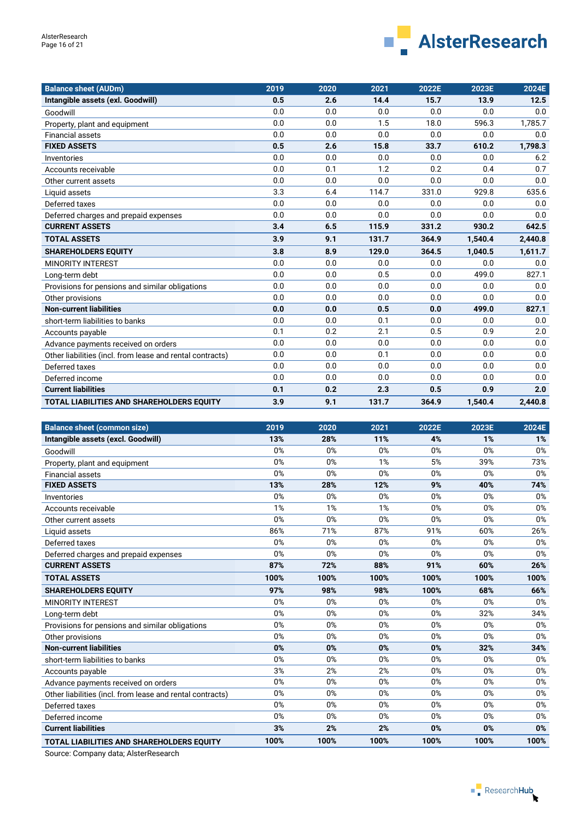

| <b>Balance sheet (AUDm)</b>                               | 2019 | 2020 | 2021  | 2022E | 2023E   | 2024E   |
|-----------------------------------------------------------|------|------|-------|-------|---------|---------|
| Intangible assets (exl. Goodwill)                         | 0.5  | 2.6  | 14.4  | 15.7  | 13.9    | 12.5    |
| Goodwill                                                  | 0.0  | 0.0  | 0.0   | 0.0   | 0.0     | 0.0     |
| Property, plant and equipment                             | 0.0  | 0.0  | 1.5   | 18.0  | 596.3   | 1,785.7 |
| <b>Financial assets</b>                                   | 0.0  | 0.0  | 0.0   | 0.0   | 0.0     | 0.0     |
| <b>FIXED ASSETS</b>                                       | 0.5  | 2.6  | 15.8  | 33.7  | 610.2   | 1,798.3 |
| Inventories                                               | 0.0  | 0.0  | 0.0   | 0.0   | 0.0     | 6.2     |
| Accounts receivable                                       | 0.0  | 0.1  | 1.2   | 0.2   | 0.4     | 0.7     |
| Other current assets                                      | 0.0  | 0.0  | 0.0   | 0.0   | 0.0     | 0.0     |
| Liquid assets                                             | 3.3  | 6.4  | 114.7 | 331.0 | 929.8   | 635.6   |
| Deferred taxes                                            | 0.0  | 0.0  | 0.0   | 0.0   | 0.0     | 0.0     |
| Deferred charges and prepaid expenses                     | 0.0  | 0.0  | 0.0   | 0.0   | 0.0     | 0.0     |
| <b>CURRENT ASSETS</b>                                     | 3.4  | 6.5  | 115.9 | 331.2 | 930.2   | 642.5   |
| <b>TOTAL ASSETS</b>                                       | 3.9  | 9.1  | 131.7 | 364.9 | 1,540.4 | 2,440.8 |
| <b>SHAREHOLDERS EQUITY</b>                                | 3.8  | 8.9  | 129.0 | 364.5 | 1,040.5 | 1,611.7 |
| <b>MINORITY INTEREST</b>                                  | 0.0  | 0.0  | 0.0   | 0.0   | 0.0     | 0.0     |
| Long-term debt                                            | 0.0  | 0.0  | 0.5   | 0.0   | 499.0   | 827.1   |
| Provisions for pensions and similar obligations           | 0.0  | 0.0  | 0.0   | 0.0   | 0.0     | 0.0     |
| Other provisions                                          | 0.0  | 0.0  | 0.0   | 0.0   | 0.0     | 0.0     |
| <b>Non-current liabilities</b>                            | 0.0  | 0.0  | 0.5   | 0.0   | 499.0   | 827.1   |
| short-term liabilities to banks                           | 0.0  | 0.0  | 0.1   | 0.0   | 0.0     | 0.0     |
| Accounts payable                                          | 0.1  | 0.2  | 2.1   | 0.5   | 0.9     | 2.0     |
| Advance payments received on orders                       | 0.0  | 0.0  | 0.0   | 0.0   | 0.0     | 0.0     |
| Other liabilities (incl. from lease and rental contracts) | 0.0  | 0.0  | 0.1   | 0.0   | 0.0     | 0.0     |
| Deferred taxes                                            | 0.0  | 0.0  | 0.0   | 0.0   | 0.0     | 0.0     |
| Deferred income                                           | 0.0  | 0.0  | 0.0   | 0.0   | 0.0     | 0.0     |
| <b>Current liabilities</b>                                | 0.1  | 0.2  | 2.3   | 0.5   | 0.9     | 2.0     |
| <b>TOTAL LIABILITIES AND SHAREHOLDERS EQUITY</b>          | 3.9  | 9.1  | 131.7 | 364.9 | 1,540.4 | 2,440.8 |

| <b>Balance sheet (common size)</b>                        | 2019 | 2020 | 2021 | 2022E | 2023E | 2024E |
|-----------------------------------------------------------|------|------|------|-------|-------|-------|
| Intangible assets (excl. Goodwill)                        | 13%  | 28%  | 11%  | 4%    | 1%    | 1%    |
| Goodwill                                                  | 0%   | 0%   | 0%   | 0%    | 0%    | 0%    |
| Property, plant and equipment                             | 0%   | 0%   | 1%   | 5%    | 39%   | 73%   |
| <b>Financial assets</b>                                   | 0%   | 0%   | 0%   | 0%    | 0%    | 0%    |
| <b>FIXED ASSETS</b>                                       | 13%  | 28%  | 12%  | 9%    | 40%   | 74%   |
| Inventories                                               | 0%   | 0%   | 0%   | 0%    | 0%    | 0%    |
| Accounts receivable                                       | 1%   | 1%   | 1%   | 0%    | 0%    | 0%    |
| Other current assets                                      | 0%   | 0%   | 0%   | 0%    | 0%    | 0%    |
| Liquid assets                                             | 86%  | 71%  | 87%  | 91%   | 60%   | 26%   |
| Deferred taxes                                            | 0%   | 0%   | 0%   | 0%    | 0%    | 0%    |
| Deferred charges and prepaid expenses                     | 0%   | 0%   | 0%   | 0%    | 0%    | 0%    |
| <b>CURRENT ASSETS</b>                                     | 87%  | 72%  | 88%  | 91%   | 60%   | 26%   |
| <b>TOTAL ASSETS</b>                                       | 100% | 100% | 100% | 100%  | 100%  | 100%  |
| <b>SHAREHOLDERS EQUITY</b>                                | 97%  | 98%  | 98%  | 100%  | 68%   | 66%   |
| <b>MINORITY INTEREST</b>                                  | 0%   | 0%   | 0%   | 0%    | 0%    | 0%    |
| Long-term debt                                            | 0%   | 0%   | 0%   | 0%    | 32%   | 34%   |
| Provisions for pensions and similar obligations           | 0%   | 0%   | 0%   | 0%    | 0%    | 0%    |
| Other provisions                                          | 0%   | 0%   | 0%   | 0%    | 0%    | 0%    |
| <b>Non-current liabilities</b>                            | 0%   | 0%   | 0%   | 0%    | 32%   | 34%   |
| short-term liabilities to banks                           | 0%   | 0%   | 0%   | 0%    | 0%    | 0%    |
| Accounts payable                                          | 3%   | 2%   | 2%   | 0%    | 0%    | 0%    |
| Advance payments received on orders                       | 0%   | 0%   | 0%   | 0%    | 0%    | 0%    |
| Other liabilities (incl. from lease and rental contracts) | 0%   | 0%   | 0%   | 0%    | 0%    | 0%    |
| Deferred taxes                                            | 0%   | 0%   | 0%   | 0%    | 0%    | 0%    |
| Deferred income                                           | 0%   | 0%   | 0%   | 0%    | 0%    | 0%    |
| <b>Current liabilities</b>                                | 3%   | 2%   | 2%   | 0%    | 0%    | 0%    |
| TOTAL LIABILITIES AND SHAREHOLDERS EQUITY                 | 100% | 100% | 100% | 100%  | 100%  | 100%  |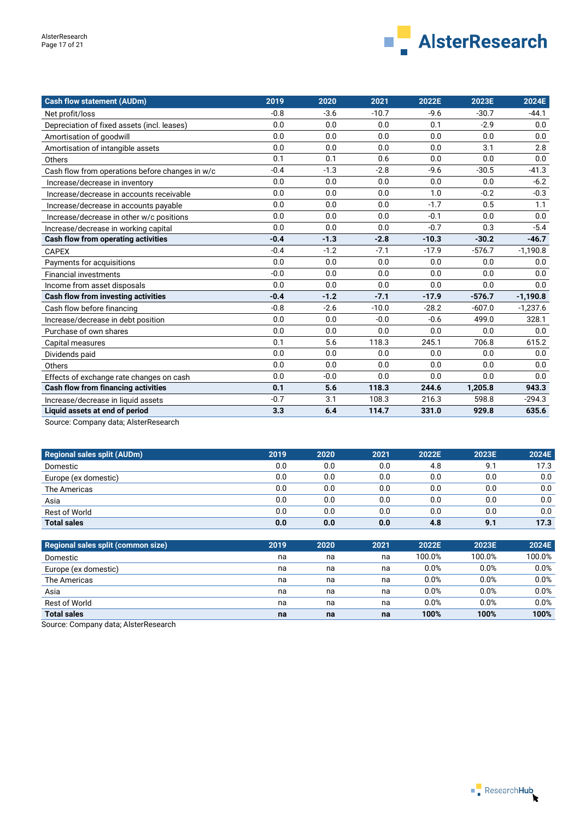

| <b>Cash flow statement (AUDm)</b>               | 2019   | 2020   | 2021    | 2022E   | 2023E    | 2024E      |
|-------------------------------------------------|--------|--------|---------|---------|----------|------------|
| Net profit/loss                                 | $-0.8$ | $-3.6$ | $-10.7$ | $-9.6$  | $-30.7$  | $-44.1$    |
| Depreciation of fixed assets (incl. leases)     | 0.0    | 0.0    | 0.0     | 0.1     | $-2.9$   | 0.0        |
| Amortisation of goodwill                        | 0.0    | 0.0    | 0.0     | 0.0     | 0.0      | 0.0        |
| Amortisation of intangible assets               | 0.0    | 0.0    | 0.0     | 0.0     | 3.1      | 2.8        |
| Others                                          | 0.1    | 0.1    | 0.6     | 0.0     | 0.0      | 0.0        |
| Cash flow from operations before changes in w/c | $-0.4$ | $-1.3$ | $-2.8$  | $-9.6$  | $-30.5$  | $-41.3$    |
| Increase/decrease in inventory                  | 0.0    | 0.0    | 0.0     | 0.0     | 0.0      | $-6.2$     |
| Increase/decrease in accounts receivable        | 0.0    | 0.0    | 0.0     | 1.0     | $-0.2$   | $-0.3$     |
| Increase/decrease in accounts payable           | 0.0    | 0.0    | 0.0     | $-1.7$  | 0.5      | 1.1        |
| Increase/decrease in other w/c positions        | 0.0    | 0.0    | 0.0     | $-0.1$  | 0.0      | 0.0        |
| Increase/decrease in working capital            | 0.0    | 0.0    | 0.0     | $-0.7$  | 0.3      | $-5.4$     |
| Cash flow from operating activities             | $-0.4$ | $-1.3$ | $-2.8$  | $-10.3$ | $-30.2$  | $-46.7$    |
| <b>CAPEX</b>                                    | $-0.4$ | $-1.2$ | $-7.1$  | $-17.9$ | $-576.7$ | $-1,190.8$ |
| Payments for acquisitions                       | 0.0    | 0.0    | 0.0     | 0.0     | 0.0      | 0.0        |
| <b>Financial investments</b>                    | $-0.0$ | 0.0    | 0.0     | 0.0     | 0.0      | 0.0        |
| Income from asset disposals                     | 0.0    | 0.0    | 0.0     | 0.0     | 0.0      | 0.0        |
| <b>Cash flow from investing activities</b>      | $-0.4$ | $-1.2$ | $-7.1$  | $-17.9$ | $-576.7$ | $-1,190.8$ |
| Cash flow before financing                      | $-0.8$ | $-2.6$ | $-10.0$ | $-28.2$ | $-607.0$ | $-1.237.6$ |
| Increase/decrease in debt position              | 0.0    | 0.0    | $-0.0$  | $-0.6$  | 499.0    | 328.1      |
| Purchase of own shares                          | 0.0    | 0.0    | 0.0     | 0.0     | 0.0      | 0.0        |
| Capital measures                                | 0.1    | 5.6    | 118.3   | 245.1   | 706.8    | 615.2      |
| Dividends paid                                  | 0.0    | 0.0    | 0.0     | 0.0     | 0.0      | 0.0        |
| Others                                          | 0.0    | 0.0    | 0.0     | 0.0     | 0.0      | 0.0        |
| Effects of exchange rate changes on cash        | 0.0    | $-0.0$ | 0.0     | 0.0     | 0.0      | 0.0        |
| <b>Cash flow from financing activities</b>      | 0.1    | 5.6    | 118.3   | 244.6   | 1,205.8  | 943.3      |
| Increase/decrease in liquid assets              | $-0.7$ | 3.1    | 108.3   | 216.3   | 598.8    | $-294.3$   |
| Liquid assets at end of period                  | 3.3    | 6.4    | 114.7   | 331.0   | 929.8    | 635.6      |

Source: Company data; AlsterResearch

| <b>Regional sales split (AUDm)</b> | 2019 | 2020 | 2021 | 2022E | 2023E | 2024E |
|------------------------------------|------|------|------|-------|-------|-------|
| Domestic                           | 0.0  | 0.0  | 0.0  | 4.8   | 9.1   | 17.3  |
| Europe (ex domestic)               | 0.0  | 0.0  | 0.0  | 0.0   | 0.0   | 0.0   |
| The Americas                       | 0.0  | 0.0  | 0.0  | 0.0   | 0.0   | 0.0   |
| Asia                               | 0.0  | 0.0  | 0.0  | 0.0   | 0.0   | 0.0   |
| <b>Rest of World</b>               | 0.0  | 0.0  | 0.0  | 0.0   | 0.0   | 0.0   |
| <b>Total sales</b>                 | 0.0  | 0.0  | 0.0  | 4.8   | 9.1   | 17.3  |

| Regional sales split (common size) | 2019 | 2020 | 2021 | 2022E  | 2023E  | 2024E  |
|------------------------------------|------|------|------|--------|--------|--------|
| Domestic                           | na   | na   | na   | 100.0% | 100.0% | 100.0% |
| Europe (ex domestic)               | na   | na   | na   | 0.0%   | 0.0%   | 0.0%   |
| The Americas                       | na   | na   | na   | 0.0%   | 0.0%   | 0.0%   |
| Asia                               | na   | na   | na   | 0.0%   | 0.0%   | 0.0%   |
| Rest of World                      | na   | na   | na   | 0.0%   | 0.0%   | 0.0%   |
| <b>Total sales</b>                 | na   | na   | na   | 100%   | 100%   | 100%   |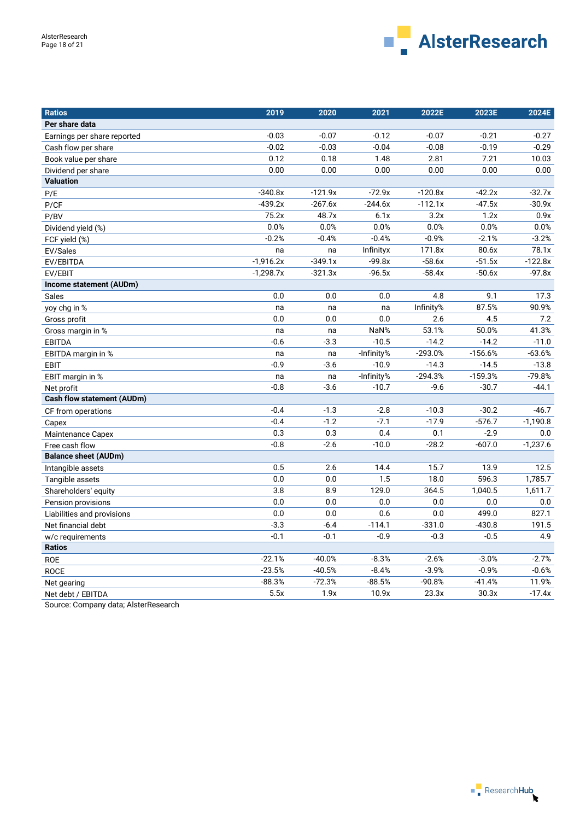

| <b>Ratios</b>                     | 2019        | 2020      | 2021       | 2022E     | 2023E     | 2024E      |
|-----------------------------------|-------------|-----------|------------|-----------|-----------|------------|
| Per share data                    |             |           |            |           |           |            |
| Earnings per share reported       | $-0.03$     | $-0.07$   | $-0.12$    | $-0.07$   | $-0.21$   | $-0.27$    |
| Cash flow per share               | $-0.02$     | $-0.03$   | $-0.04$    | $-0.08$   | $-0.19$   | $-0.29$    |
| Book value per share              | 0.12        | 0.18      | 1.48       | 2.81      | 7.21      | 10.03      |
| Dividend per share                | 0.00        | 0.00      | 0.00       | 0.00      | 0.00      | 0.00       |
| <b>Valuation</b>                  |             |           |            |           |           |            |
| P/E                               | $-340.8x$   | $-121.9x$ | $-72.9x$   | $-120.8x$ | $-42.2x$  | $-32.7x$   |
| P/CF                              | $-439.2x$   | $-267.6x$ | $-244.6x$  | $-112.1x$ | $-47.5x$  | $-30.9x$   |
| P/BV                              | 75.2x       | 48.7x     | 6.1x       | 3.2x      | 1.2x      | 0.9x       |
| Dividend yield (%)                | 0.0%        | 0.0%      | 0.0%       | 0.0%      | 0.0%      | 0.0%       |
| FCF yield (%)                     | $-0.2%$     | $-0.4%$   | $-0.4%$    | $-0.9%$   | $-2.1%$   | $-3.2%$    |
| EV/Sales                          | na          | na        | Infinityx  | 171.8x    | 80.6x     | 78.1x      |
| EV/EBITDA                         | $-1,916.2x$ | $-349.1x$ | $-99.8x$   | $-58.6x$  | $-51.5x$  | $-122.8x$  |
| EV/EBIT                           | $-1,298.7x$ | $-321.3x$ | $-96.5x$   | $-58.4x$  | $-50.6x$  | $-97.8x$   |
| Income statement (AUDm)           |             |           |            |           |           |            |
| <b>Sales</b>                      | 0.0         | 0.0       | 0.0        | 4.8       | 9.1       | 17.3       |
| yoy chg in %                      | na          | na        | na         | Infinity% | 87.5%     | 90.9%      |
| Gross profit                      | 0.0         | $0.0\,$   | 0.0        | 2.6       | 4.5       | 7.2        |
| Gross margin in %                 | na          | na        | NaN%       | 53.1%     | 50.0%     | 41.3%      |
| <b>EBITDA</b>                     | $-0.6$      | $-3.3$    | $-10.5$    | $-14.2$   | $-14.2$   | $-11.0$    |
| EBITDA margin in %                | na          | na        | -Infinity% | $-293.0%$ | $-156.6%$ | $-63.6%$   |
| <b>EBIT</b>                       | $-0.9$      | $-3.6$    | $-10.9$    | $-14.3$   | $-14.5$   | $-13.8$    |
| EBIT margin in %                  | na          | na        | -Infinity% | $-294.3%$ | $-159.3%$ | $-79.8%$   |
| Net profit                        | $-0.8$      | $-3.6$    | $-10.7$    | $-9.6$    | $-30.7$   | $-44.1$    |
| <b>Cash flow statement (AUDm)</b> |             |           |            |           |           |            |
| CF from operations                | $-0.4$      | $-1.3$    | $-2.8$     | $-10.3$   | $-30.2$   | $-46.7$    |
| Capex                             | $-0.4$      | $-1.2$    | $-7.1$     | $-17.9$   | $-576.7$  | $-1,190.8$ |
| <b>Maintenance Capex</b>          | 0.3         | 0.3       | 0.4        | 0.1       | $-2.9$    | 0.0        |
| Free cash flow                    | $-0.8$      | $-2.6$    | $-10.0$    | $-28.2$   | $-607.0$  | $-1,237.6$ |
| <b>Balance sheet (AUDm)</b>       |             |           |            |           |           |            |
| Intangible assets                 | 0.5         | 2.6       | 14.4       | 15.7      | 13.9      | 12.5       |
| Tangible assets                   | 0.0         | 0.0       | 1.5        | 18.0      | 596.3     | 1,785.7    |
| Shareholders' equity              | 3.8         | 8.9       | 129.0      | 364.5     | 1,040.5   | 1,611.7    |
| Pension provisions                | 0.0         | 0.0       | 0.0        | 0.0       | $0.0\,$   | $0.0\,$    |
| Liabilities and provisions        | 0.0         | 0.0       | 0.6        | 0.0       | 499.0     | 827.1      |
| Net financial debt                | $-3.3$      | $-6.4$    | $-114.1$   | $-331.0$  | $-430.8$  | 191.5      |
| w/c requirements                  | $-0.1$      | $-0.1$    | $-0.9$     | $-0.3$    | $-0.5$    | 4.9        |
| <b>Ratios</b>                     |             |           |            |           |           |            |
| <b>ROE</b>                        | $-22.1%$    | $-40.0%$  | $-8.3%$    | $-2.6%$   | $-3.0%$   | $-2.7%$    |
| <b>ROCE</b>                       | $-23.5%$    | $-40.5%$  | $-8.4%$    | $-3.9%$   | $-0.9%$   | $-0.6%$    |
| Net gearing                       | $-88.3%$    | $-72.3%$  | $-88.5%$   | $-90.8%$  | $-41.4%$  | 11.9%      |
| Net debt / EBITDA                 | 5.5x        | 1.9x      | 10.9x      | 23.3x     | 30.3x     | $-17.4x$   |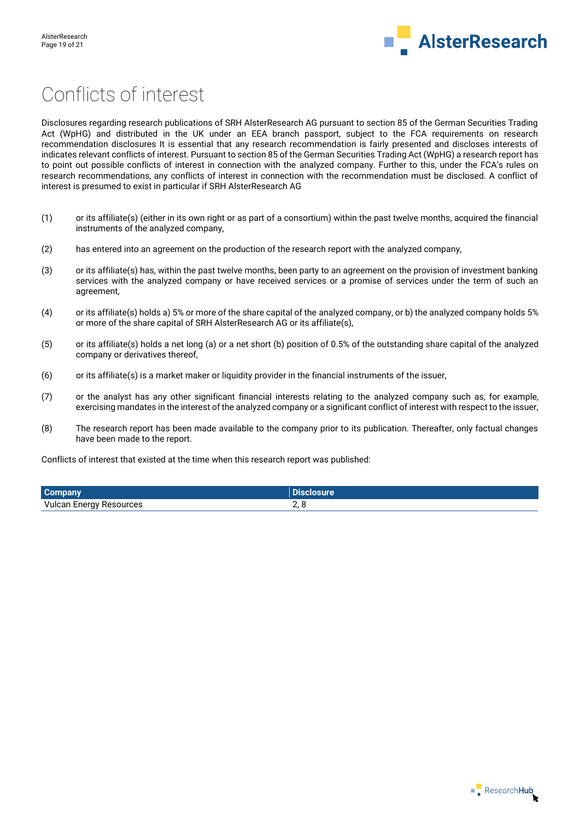

# Conflicts of interest

Disclosures regarding research publications of SRH AlsterResearch AG pursuant to section 85 of the German Securities Trading Act (WpHG) and distributed in the UK under an EEA branch passport, subject to the FCA requirements on research recommendation disclosures It is essential that any research recommendation is fairly presented and discloses interests of indicates relevant conflicts of interest. Pursuant to section 85 of the German Securities Trading Act (WpHG) a research report has to point out possible conflicts of interest in connection with the analyzed company. Further to this, under the FCA's rules on research recommendations, any conflicts of interest in connection with the recommendation must be disclosed. A conflict of interest is presumed to exist in particular if SRH AlsterResearch AG

- (1) or its affiliate(s) (either in its own right or as part of a consortium) within the past twelve months, acquired the financial instruments of the analyzed company,
- (2) has entered into an agreement on the production of the research report with the analyzed company,
- (3) or its affiliate(s) has, within the past twelve months, been party to an agreement on the provision of investment banking services with the analyzed company or have received services or a promise of services under the term of such an agreement,
- (4) or its affiliate(s) holds a) 5% or more of the share capital of the analyzed company, or b) the analyzed company holds 5% or more of the share capital of SRH AlsterResearch AG or its affiliate(s),
- (5) or its affiliate(s) holds a net long (a) or a net short (b) position of 0.5% of the outstanding share capital of the analyzed company or derivatives thereof,
- (6) or its affiliate(s) is a market maker or liquidity provider in the financial instruments of the issuer,
- (7) or the analyst has any other significant financial interests relating to the analyzed company such as, for example, exercising mandates in the interest of the analyzed company or a significant conflict of interest with respect to the issuer,
- (8) The research report has been made available to the company prior to its publication. Thereafter, only factual changes have been made to the report.

Conflicts of interest that existed at the time when this research report was published:

| <b>Company</b>                 |  |
|--------------------------------|--|
| <b>Vulcan Energy Resources</b> |  |

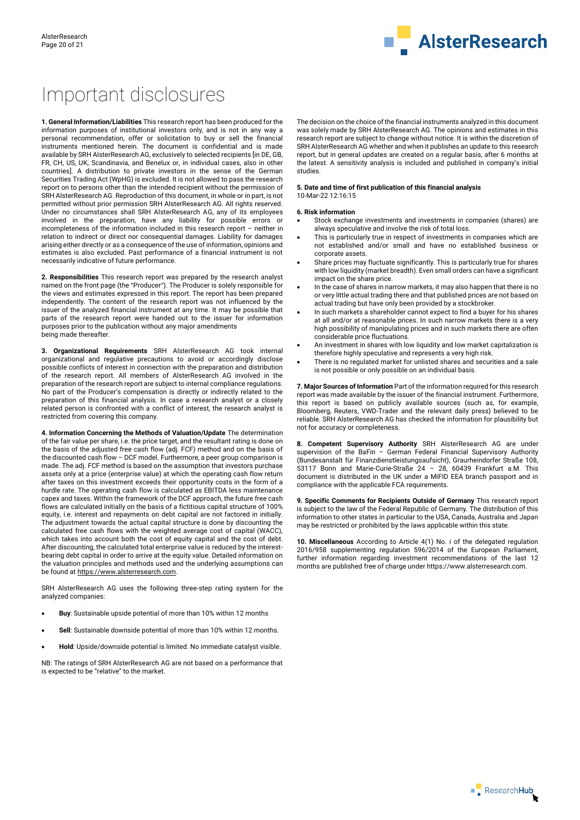

# Important disclosures

**1. General Information/Liabilities** This research report has been produced for the information purposes of institutional investors only, and is not in any way a personal recommendation, offer or solicitation to buy or sell the financial instruments mentioned herein. The document is confidential and is made available by SRH AlsterResearch AG, exclusively to selected recipients [in DE, GB, FR, CH, US, UK, Scandinavia, and Benelux or, in individual cases, also in other countries]. A distribution to private investors in the sense of the German Securities Trading Act (WpHG) is excluded. It is not allowed to pass the research report on to persons other than the intended recipient without the permission of SRH AlsterResearch AG. Reproduction of this document, in whole or in part, is not permitted without prior permission SRH AlsterResearch AG. All rights reserved. Under no circumstances shall SRH AlsterResearch AG, any of its employees involved in the preparation, have any liability for possible errors or incompleteness of the information included in this research report – neither in relation to indirect or direct nor consequential damages. Liability for damages arising either directly or as a consequence of the use of information, opinions and estimates is also excluded. Past performance of a financial instrument is not necessarily indicative of future performance.

**2. Responsibilities** This research report was prepared by the research analyst named on the front page (the "Producer"). The Producer is solely responsible for the views and estimates expressed in this report. The report has been prepared independently. The content of the research report was not influenced by the issuer of the analyzed financial instrument at any time. It may be possible that parts of the research report were handed out to the issuer for information purposes prior to the publication without any major amendments being made thereafter.

**3. Organizational Requirements** SRH AlsterResearch AG took internal organizational and regulative precautions to avoid or accordingly disclose possible conflicts of interest in connection with the preparation and distribution of the research report. All members of AlsterResearch AG involved in the preparation of the research report are subject to internal compliance regulations. No part of the Producer's compensation is directly or indirectly related to the preparation of this financial analysis. In case a research analyst or a closely related person is confronted with a conflict of interest, the research analyst is restricted from covering this company.

**4. Information Concerning the Methods of Valuation/Update** The determination of the fair value per share, i.e. the price target, and the resultant rating is done on the basis of the adjusted free cash flow (adj. FCF) method and on the basis of the discounted cash flow – DCF model. Furthermore, a peer group comparison is made. The adj. FCF method is based on the assumption that investors purchase assets only at a price (enterprise value) at which the operating cash flow return after taxes on this investment exceeds their opportunity costs in the form of a hurdle rate. The operating cash flow is calculated as EBITDA less maintenance capex and taxes. Within the framework of the DCF approach, the future free cash flows are calculated initially on the basis of a fictitious capital structure of 100% equity, i.e. interest and repayments on debt capital are not factored in initially. The adjustment towards the actual capital structure is done by discounting the calculated free cash flows with the weighted average cost of capital (WACC), which takes into account both the cost of equity capital and the cost of debt. After discounting, the calculated total enterprise value is reduced by the interestbearing debt capital in order to arrive at the equity value. Detailed information on the valuation principles and methods used and the underlying assumptions can be found a[t https://www.alsterresearch.com.](https://www.alsterresearch.com/) 

SRH AlsterResearch AG uses the following three-step rating system for the analyzed companies:

- **Buy**: Sustainable upside potential of more than 10% within 12 months
- **Sell**: Sustainable downside potential of more than 10% within 12 months.
- **Hold**: Upside/downside potential is limited. No immediate catalyst visible.

NB: The ratings of SRH AlsterResearch AG are not based on a performance that is expected to be "relative" to the market.

The decision on the choice of the financial instruments analyzed in this document was solely made by SRH AlsterResearch AG. The opinions and estimates in this research report are subject to change without notice. It is within the discretion of SRH AlsterResearch AG whether and when it publishes an update to this research report, but in general updates are created on a regular basis, after 6 months at the latest. A sensitivity analysis is included and published in company's initial studies.

#### **5. Date and time of first publication of this financial analysis**

10-Mar-22 12:16:15

#### **6. Risk information**

- Stock exchange investments and investments in companies (shares) are always speculative and involve the risk of total loss.
- This is particularly true in respect of investments in companies which are not established and/or small and have no established business or corporate assets.
- Share prices may fluctuate significantly. This is particularly true for shares with low liquidity (market breadth). Even small orders can have a significant impact on the share price.
- In the case of shares in narrow markets, it may also happen that there is no or very little actual trading there and that published prices are not based on actual trading but have only been provided by a stockbroker.
- In such markets a shareholder cannot expect to find a buyer for his shares at all and/or at reasonable prices. In such narrow markets there is a very high possibility of manipulating prices and in such markets there are often considerable price fluctuations.
- An investment in shares with low liquidity and low market capitalization is therefore highly speculative and represents a very high risk.
- There is no regulated market for unlisted shares and securities and a sale is not possible or only possible on an individual basis.

**7. Major Sources of Information** Part of the information required for this research report was made available by the issuer of the financial instrument. Furthermore, this report is based on publicly available sources (such as, for example, Bloomberg, Reuters, VWD-Trader and the relevant daily press) believed to be reliable. SRH AlsterResearch AG has checked the information for plausibility but not for accuracy or completeness.

**8. Competent Supervisory Authority** SRH AlsterResearch AG are under supervision of the BaFin – German Federal Financial Supervisory Authority (Bundesanstalt für Finanzdienstleistungsaufsicht), Graurheindorfer Straße 108, 53117 Bonn and Marie-Curie-Straße 24 – 28, 60439 Frankfurt a.M. This document is distributed in the UK under a MiFID EEA branch passport and in compliance with the applicable FCA requirements.

**9. Specific Comments for Recipients Outside of Germany** This research report is subject to the law of the Federal Republic of Germany. The distribution of this information to other states in particular to the USA, Canada, Australia and Japan may be restricted or prohibited by the laws applicable within this state.

**10. Miscellaneous** According to Article 4(1) No. i of the delegated regulation 2016/958 supplementing regulation 596/2014 of the European Parliament, further information regarding investment recommendations of the last 12 months are published free of charge under https://www.alsterresearch.com.